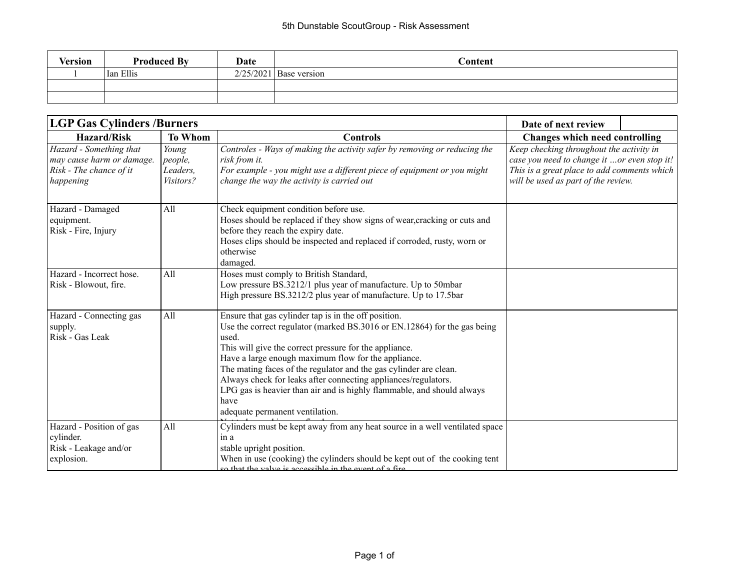| Version | <b>Produced By</b> | Date | Content                  |
|---------|--------------------|------|--------------------------|
|         | Ian Ellis          |      | $2/25/2021$ Base version |
|         |                    |      |                          |
|         |                    |      |                          |

| <b>LGP Gas Cylinders /Burners</b>                                                            | Date of next review                       |                                                                                                                                                                                                                                                                                                                                                                                                                                                                                                                        |                                                                                                                                                                               |  |
|----------------------------------------------------------------------------------------------|-------------------------------------------|------------------------------------------------------------------------------------------------------------------------------------------------------------------------------------------------------------------------------------------------------------------------------------------------------------------------------------------------------------------------------------------------------------------------------------------------------------------------------------------------------------------------|-------------------------------------------------------------------------------------------------------------------------------------------------------------------------------|--|
| <b>Hazard/Risk</b><br><b>To Whom</b><br><b>Controls</b>                                      |                                           | <b>Changes which need controlling</b>                                                                                                                                                                                                                                                                                                                                                                                                                                                                                  |                                                                                                                                                                               |  |
| Hazard - Something that<br>may cause harm or damage.<br>Risk - The chance of it<br>happening | Young<br>people,<br>Leaders,<br>Visitors? | Controles - Ways of making the activity safer by removing or reducing the<br>risk from it.<br>For example - you might use a different piece of equipment or you might<br>change the way the activity is carried out                                                                                                                                                                                                                                                                                                    | Keep checking throughout the activity in<br>case you need to change it or even stop it!<br>This is a great place to add comments which<br>will be used as part of the review. |  |
| Hazard - Damaged<br>equipment.<br>Risk - Fire, Injury                                        | All                                       | Check equipment condition before use.<br>Hoses should be replaced if they show signs of wear, cracking or cuts and<br>before they reach the expiry date.<br>Hoses clips should be inspected and replaced if corroded, rusty, worn or<br>otherwise<br>damaged.                                                                                                                                                                                                                                                          |                                                                                                                                                                               |  |
| Hazard - Incorrect hose.<br>Risk - Blowout, fire.                                            | All                                       | Hoses must comply to British Standard,<br>Low pressure BS.3212/1 plus year of manufacture. Up to 50mbar<br>High pressure BS.3212/2 plus year of manufacture. Up to 17.5bar                                                                                                                                                                                                                                                                                                                                             |                                                                                                                                                                               |  |
| Hazard - Connecting gas<br>supply.<br>Risk - Gas Leak                                        | All                                       | Ensure that gas cylinder tap is in the off position.<br>Use the correct regulator (marked BS.3016 or EN.12864) for the gas being<br>used.<br>This will give the correct pressure for the appliance.<br>Have a large enough maximum flow for the appliance.<br>The mating faces of the regulator and the gas cylinder are clean.<br>Always check for leaks after connecting appliances/regulators.<br>LPG gas is heavier than air and is highly flammable, and should always<br>have<br>adequate permanent ventilation. |                                                                                                                                                                               |  |
| Hazard - Position of gas<br>cylinder.<br>Risk - Leakage and/or<br>explosion.                 | All                                       | Cylinders must be kept away from any heat source in a well ventilated space<br>in a<br>stable upright position.<br>When in use (cooking) the cylinders should be kept out of the cooking tent<br>on that the valve is accessible in the event of a fire                                                                                                                                                                                                                                                                |                                                                                                                                                                               |  |